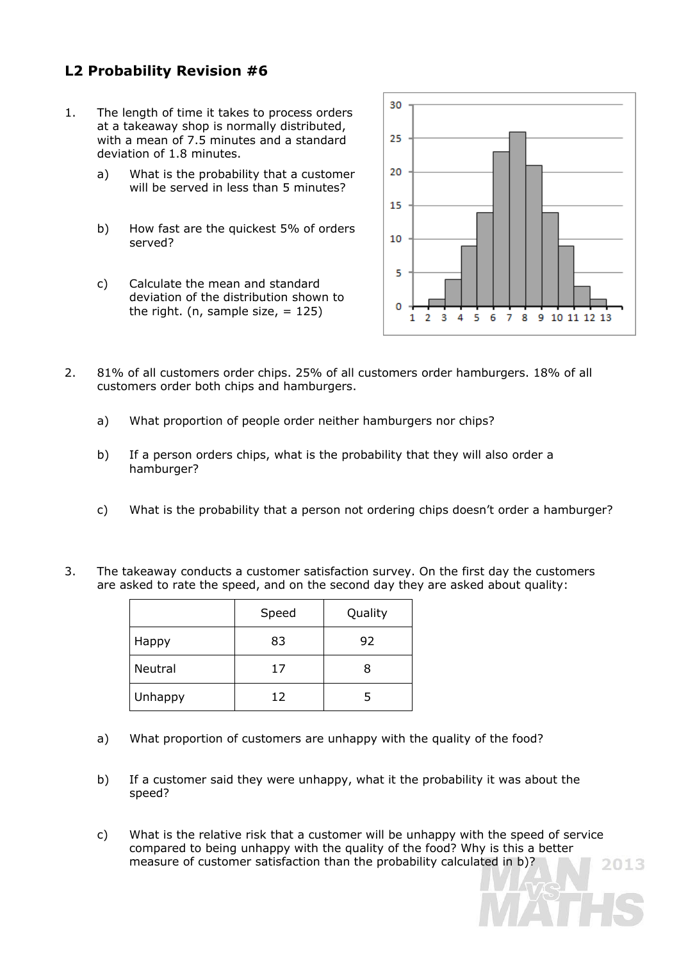## **L2 Probability Revision #6**

- 1. The length of time it takes to process orders at a takeaway shop is normally distributed, with a mean of 7.5 minutes and a standard deviation of 1.8 minutes.
	- a) What is the probability that a customer will be served in less than 5 minutes?
	- b) How fast are the quickest 5% of orders served?
	- c) Calculate the mean and standard deviation of the distribution shown to the right. (n, sample size,  $= 125$ )



- 2. 81% of all customers order chips. 25% of all customers order hamburgers. 18% of all customers order both chips and hamburgers.
	- a) What proportion of people order neither hamburgers nor chips?
	- b) If a person orders chips, what is the probability that they will also order a hamburger?
	- c) What is the probability that a person not ordering chips doesn't order a hamburger?
- 3. The takeaway conducts a customer satisfaction survey. On the first day the customers are asked to rate the speed, and on the second day they are asked about quality:

|         | Speed | Quality |
|---------|-------|---------|
| Happy   | 83    | 92      |
| Neutral | 17    | 8       |
| Unhappy | 12    |         |

- a) What proportion of customers are unhappy with the quality of the food?
- b) If a customer said they were unhappy, what it the probability it was about the speed?
- c) What is the relative risk that a customer will be unhappy with the speed of service compared to being unhappy with the quality of the food? Why is this a better measure of customer satisfaction than the probability calculated in b)?2013